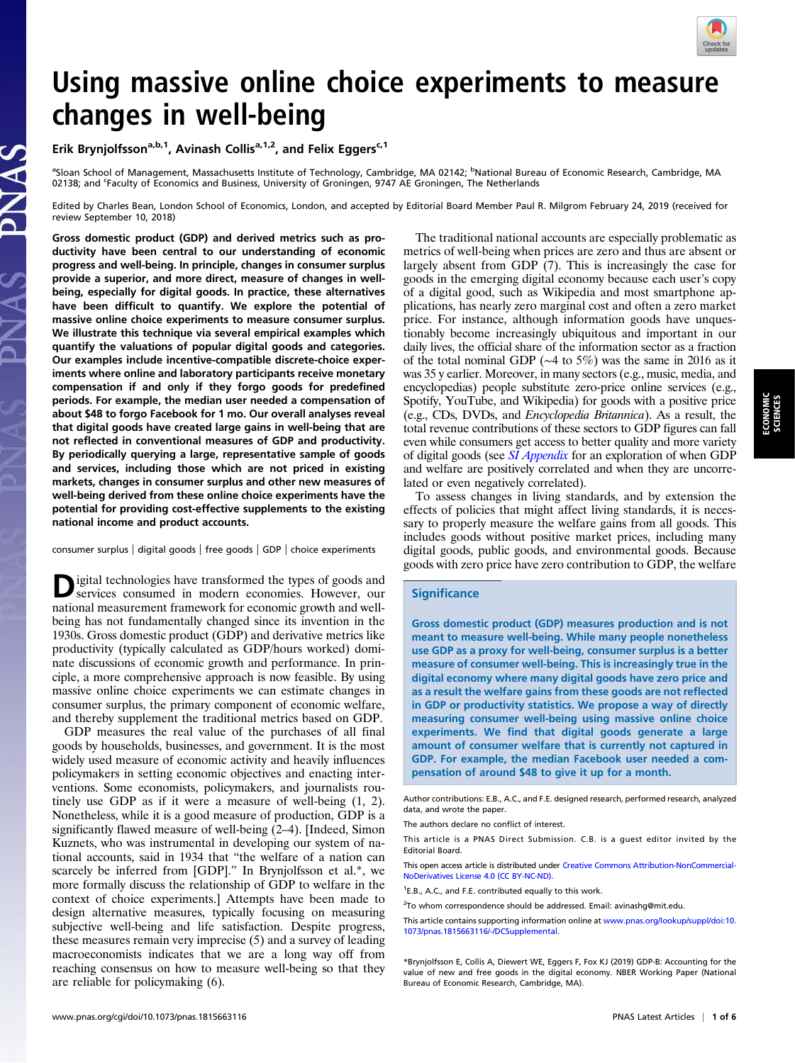

# Using massive online choice experiments to measure changes in well-being

Erik Brynjolfsson<sup>a,b,1</sup>, Avinash Collis<sup>a,1,2</sup>, and Felix Eggers<sup>c,1</sup>

<sup>a</sup>Sloan School of Management, Massachusetts Institute of Technology, Cambridge, MA 02142; <sup>b</sup>National Bureau of Economic Research, Cambridge, MA 02138; and <sup>c</sup>Faculty of Economics and Business, University of Groningen, 9747 AE Groningen, The Netherlands

Edited by Charles Bean, London School of Economics, London, and accepted by Editorial Board Member Paul R. Milgrom February 24, 2019 (received for review September 10, 2018)

Gross domestic product (GDP) and derived metrics such as productivity have been central to our understanding of economic progress and well-being. In principle, changes in consumer surplus provide a superior, and more direct, measure of changes in wellbeing, especially for digital goods. In practice, these alternatives have been difficult to quantify. We explore the potential of massive online choice experiments to measure consumer surplus. We illustrate this technique via several empirical examples which quantify the valuations of popular digital goods and categories. Our examples include incentive-compatible discrete-choice experiments where online and laboratory participants receive monetary compensation if and only if they forgo goods for predefined periods. For example, the median user needed a compensation of about \$48 to forgo Facebook for 1 mo. Our overall analyses reveal that digital goods have created large gains in well-being that are not reflected in conventional measures of GDP and productivity. By periodically querying a large, representative sample of goods and services, including those which are not priced in existing markets, changes in consumer surplus and other new measures of well-being derived from these online choice experiments have the potential for providing cost-effective supplements to the existing national income and product accounts.

consumer surplus | digital goods | free goods | GDP | choice experiments

Digital technologies have transformed the types of goods and services consumed in modern economies. However, our national measurement framework for economic growth and wellbeing has not fundamentally changed since its invention in the 1930s. Gross domestic product (GDP) and derivative metrics like productivity (typically calculated as GDP/hours worked) dominate discussions of economic growth and performance. In principle, a more comprehensive approach is now feasible. By using massive online choice experiments we can estimate changes in consumer surplus, the primary component of economic welfare, and thereby supplement the traditional metrics based on GDP.

GDP measures the real value of the purchases of all final goods by households, businesses, and government. It is the most widely used measure of economic activity and heavily influences policymakers in setting economic objectives and enacting interventions. Some economists, policymakers, and journalists routinely use GDP as if it were a measure of well-being (1, 2). Nonetheless, while it is a good measure of production, GDP is a significantly flawed measure of well-being (2–4). [Indeed, Simon Kuznets, who was instrumental in developing our system of national accounts, said in 1934 that "the welfare of a nation can scarcely be inferred from [GDP]." In Brynjolfsson et al.\*, we more formally discuss the relationship of GDP to welfare in the context of choice experiments.] Attempts have been made to design alternative measures, typically focusing on measuring subjective well-being and life satisfaction. Despite progress, these measures remain very imprecise (5) and a survey of leading macroeconomists indicates that we are a long way off from reaching consensus on how to measure well-being so that they are reliable for policymaking (6).

The traditional national accounts are especially problematic as metrics of well-being when prices are zero and thus are absent or largely absent from GDP (7). This is increasingly the case for goods in the emerging digital economy because each user's copy of a digital good, such as Wikipedia and most smartphone applications, has nearly zero marginal cost and often a zero market price. For instance, although information goods have unquestionably become increasingly ubiquitous and important in our daily lives, the official share of the information sector as a fraction of the total nominal GDP (∼4 to 5%) was the same in 2016 as it was 35 y earlier. Moreover, in many sectors (e.g., music, media, and encyclopedias) people substitute zero-price online services (e.g., Spotify, YouTube, and Wikipedia) for goods with a positive price (e.g., CDs, DVDs, and Encyclopedia Britannica). As a result, the total revenue contributions of these sectors to GDP figures can fall even while consumers get access to better quality and more variety of digital goods (see [SI Appendix](https://www.pnas.org/lookup/suppl/doi:10.1073/pnas.1815663116/-/DCSupplemental) for an exploration of when GDP and welfare are positively correlated and when they are uncorrelated or even negatively correlated).

To assess changes in living standards, and by extension the effects of policies that might affect living standards, it is necessary to properly measure the welfare gains from all goods. This includes goods without positive market prices, including many digital goods, public goods, and environmental goods. Because goods with zero price have zero contribution to GDP, the welfare

## **Significance**

Gross domestic product (GDP) measures production and is not meant to measure well-being. While many people nonetheless use GDP as a proxy for well-being, consumer surplus is a better measure of consumer well-being. This is increasingly true in the digital economy where many digital goods have zero price and as a result the welfare gains from these goods are not reflected in GDP or productivity statistics. We propose a way of directly measuring consumer well-being using massive online choice experiments. We find that digital goods generate a large amount of consumer welfare that is currently not captured in GDP. For example, the median Facebook user needed a compensation of around \$48 to give it up for a month.

Author contributions: E.B., A.C., and F.E. designed research, performed research, analyzed data, and wrote the paper.

The authors declare no conflict of interest.

This article is a PNAS Direct Submission. C.B. is a guest editor invited by the Editorial Board.

This open access article is distributed under [Creative Commons Attribution-NonCommercial-](https://creativecommons.org/licenses/by-nc-nd/4.0/)[NoDerivatives License 4.0 \(CC BY-NC-ND\).](https://creativecommons.org/licenses/by-nc-nd/4.0/)

<sup>1</sup>E.B., A.C., and F.E. contributed equally to this work.

<sup>2</sup>To whom correspondence should be addressed. Email: [avinashg@mit.edu.](mailto:avinashg@mit.edu)

This article contains supporting information online at [www.pnas.org/lookup/suppl/doi:10.](https://www.pnas.org/lookup/suppl/doi:10.1073/pnas.1815663116/-/DCSupplemental) [1073/pnas.1815663116/-/DCSupplemental](https://www.pnas.org/lookup/suppl/doi:10.1073/pnas.1815663116/-/DCSupplemental).

\*Brynjolfsson E, Collis A, Diewert WE, Eggers F, Fox KJ (2019) GDP-B: Accounting for the value of new and free goods in the digital economy. NBER Working Paper (National Bureau of Economic Research, Cambridge, MA).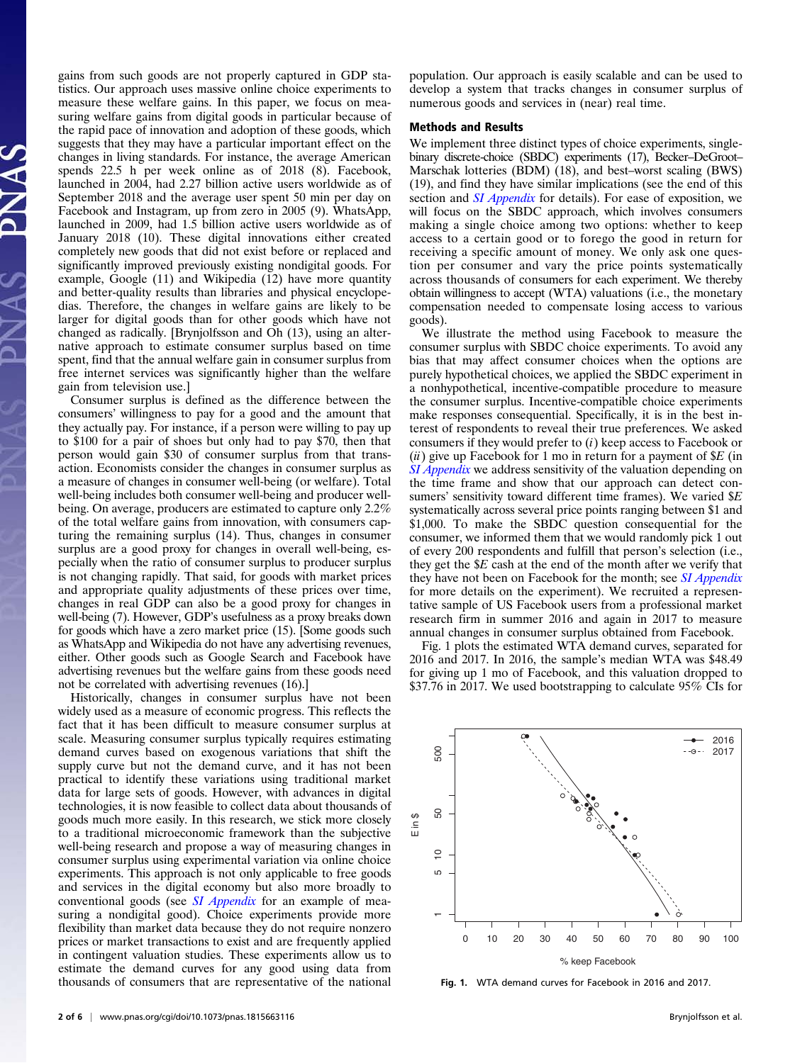gains from such goods are not properly captured in GDP statistics. Our approach uses massive online choice experiments to measure these welfare gains. In this paper, we focus on measuring welfare gains from digital goods in particular because of the rapid pace of innovation and adoption of these goods, which suggests that they may have a particular important effect on the changes in living standards. For instance, the average American spends 22.5 h per week online as of 2018 (8). Facebook, launched in 2004, had 2.27 billion active users worldwide as of September 2018 and the average user spent 50 min per day on Facebook and Instagram, up from zero in 2005 (9). WhatsApp, launched in 2009, had 1.5 billion active users worldwide as of January 2018 (10). These digital innovations either created completely new goods that did not exist before or replaced and significantly improved previously existing nondigital goods. For example, Google (11) and Wikipedia (12) have more quantity and better-quality results than libraries and physical encyclopedias. Therefore, the changes in welfare gains are likely to be larger for digital goods than for other goods which have not changed as radically. [Brynjolfsson and Oh (13), using an alternative approach to estimate consumer surplus based on time spent, find that the annual welfare gain in consumer surplus from free internet services was significantly higher than the welfare gain from television use.]

Consumer surplus is defined as the difference between the consumers' willingness to pay for a good and the amount that they actually pay. For instance, if a person were willing to pay up to \$100 for a pair of shoes but only had to pay \$70, then that person would gain \$30 of consumer surplus from that transaction. Economists consider the changes in consumer surplus as a measure of changes in consumer well-being (or welfare). Total well-being includes both consumer well-being and producer wellbeing. On average, producers are estimated to capture only 2.2% of the total welfare gains from innovation, with consumers capturing the remaining surplus (14). Thus, changes in consumer surplus are a good proxy for changes in overall well-being, especially when the ratio of consumer surplus to producer surplus is not changing rapidly. That said, for goods with market prices and appropriate quality adjustments of these prices over time, changes in real GDP can also be a good proxy for changes in well-being (7). However, GDP's usefulness as a proxy breaks down for goods which have a zero market price (15). [Some goods such as WhatsApp and Wikipedia do not have any advertising revenues, either. Other goods such as Google Search and Facebook have advertising revenues but the welfare gains from these goods need not be correlated with advertising revenues (16).]

Historically, changes in consumer surplus have not been widely used as a measure of economic progress. This reflects the fact that it has been difficult to measure consumer surplus at scale. Measuring consumer surplus typically requires estimating demand curves based on exogenous variations that shift the supply curve but not the demand curve, and it has not been practical to identify these variations using traditional market data for large sets of goods. However, with advances in digital technologies, it is now feasible to collect data about thousands of goods much more easily. In this research, we stick more closely to a traditional microeconomic framework than the subjective well-being research and propose a way of measuring changes in consumer surplus using experimental variation via online choice experiments. This approach is not only applicable to free goods and services in the digital economy but also more broadly to conventional goods (see *[SI Appendix](https://www.pnas.org/lookup/suppl/doi:10.1073/pnas.1815663116/-/DCSupplemental)* for an example of measuring a nondigital good). Choice experiments provide more flexibility than market data because they do not require nonzero prices or market transactions to exist and are frequently applied in contingent valuation studies. These experiments allow us to estimate the demand curves for any good using data from thousands of consumers that are representative of the national

population. Our approach is easily scalable and can be used to develop a system that tracks changes in consumer surplus of numerous goods and services in (near) real time.

### Methods and Results

We implement three distinct types of choice experiments, singlebinary discrete-choice (SBDC) experiments (17), Becker–DeGroot– Marschak lotteries (BDM) (18), and best–worst scaling (BWS) (19), and find they have similar implications (see the end of this section and *[SI Appendix](https://www.pnas.org/lookup/suppl/doi:10.1073/pnas.1815663116/-/DCSupplemental)* for details). For ease of exposition, we will focus on the SBDC approach, which involves consumers making a single choice among two options: whether to keep access to a certain good or to forego the good in return for receiving a specific amount of money. We only ask one question per consumer and vary the price points systematically across thousands of consumers for each experiment. We thereby obtain willingness to accept (WTA) valuations (i.e., the monetary compensation needed to compensate losing access to various goods).

We illustrate the method using Facebook to measure the consumer surplus with SBDC choice experiments. To avoid any bias that may affect consumer choices when the options are purely hypothetical choices, we applied the SBDC experiment in a nonhypothetical, incentive-compatible procedure to measure the consumer surplus. Incentive-compatible choice experiments make responses consequential. Specifically, it is in the best interest of respondents to reveal their true preferences. We asked consumers if they would prefer to  $(i)$  keep access to Facebook or (ii) give up Facebook for 1 mo in return for a payment of  $E$  (in [SI Appendix](https://www.pnas.org/lookup/suppl/doi:10.1073/pnas.1815663116/-/DCSupplemental) we address sensitivity of the valuation depending on the time frame and show that our approach can detect consumers' sensitivity toward different time frames). We varied  $E$ systematically across several price points ranging between \$1 and \$1,000. To make the SBDC question consequential for the consumer, we informed them that we would randomly pick 1 out of every 200 respondents and fulfill that person's selection (i.e., they get the  $E$  cash at the end of the month after we verify that they have not been on Facebook for the month; see *[SI Appendix](https://www.pnas.org/lookup/suppl/doi:10.1073/pnas.1815663116/-/DCSupplemental)* for more details on the experiment). We recruited a representative sample of US Facebook users from a professional market research firm in summer 2016 and again in 2017 to measure annual changes in consumer surplus obtained from Facebook.

Fig. 1 plots the estimated WTA demand curves, separated for 2016 and 2017. In 2016, the sample's median WTA was \$48.49 for giving up 1 mo of Facebook, and this valuation dropped to \$37.76 in 2017. We used bootstrapping to calculate 95% CIs for



Fig. 1. WTA demand curves for Facebook in 2016 and 2017.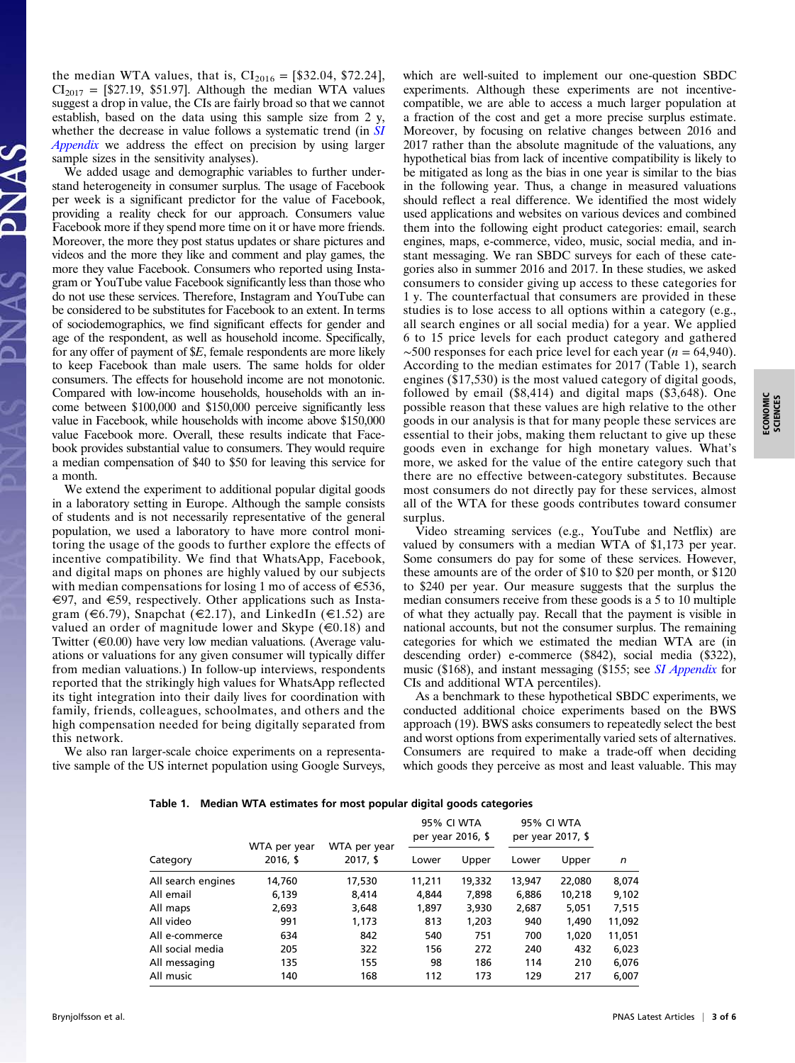the median WTA values, that is,  $CI_{2016} = [\$32.04, \$72.24]$ ,  $CI<sub>2017</sub> =$  [\$27.19, \$51.97]. Although the median WTA values suggest a drop in value, the CIs are fairly broad so that we cannot establish, based on the data using this sample size from 2 y, whether the decrease in value follows a systematic trend (in [SI](https://www.pnas.org/lookup/suppl/doi:10.1073/pnas.1815663116/-/DCSupplemental) [Appendix](https://www.pnas.org/lookup/suppl/doi:10.1073/pnas.1815663116/-/DCSupplemental) we address the effect on precision by using larger sample sizes in the sensitivity analyses).

We added usage and demographic variables to further understand heterogeneity in consumer surplus. The usage of Facebook per week is a significant predictor for the value of Facebook, providing a reality check for our approach. Consumers value Facebook more if they spend more time on it or have more friends. Moreover, the more they post status updates or share pictures and videos and the more they like and comment and play games, the more they value Facebook. Consumers who reported using Instagram or YouTube value Facebook significantly less than those who do not use these services. Therefore, Instagram and YouTube can be considered to be substitutes for Facebook to an extent. In terms of sociodemographics, we find significant effects for gender and age of the respondent, as well as household income. Specifically, for any offer of payment of \$E, female respondents are more likely to keep Facebook than male users. The same holds for older consumers. The effects for household income are not monotonic. Compared with low-income households, households with an income between \$100,000 and \$150,000 perceive significantly less value in Facebook, while households with income above \$150,000 value Facebook more. Overall, these results indicate that Facebook provides substantial value to consumers. They would require a median compensation of \$40 to \$50 for leaving this service for a month.

We extend the experiment to additional popular digital goods in a laboratory setting in Europe. Although the sample consists of students and is not necessarily representative of the general population, we used a laboratory to have more control monitoring the usage of the goods to further explore the effects of incentive compatibility. We find that WhatsApp, Facebook, and digital maps on phones are highly valued by our subjects with median compensations for losing 1 mo of access of  $\epsilon$ 536,  $\epsilon$ 97, and  $\epsilon$ 59, respectively. Other applications such as Instagram ( $\in$ 6.79), Snapchat ( $\in$ 2.17), and LinkedIn ( $\in$ 1.52) are valued an order of magnitude lower and Skype  $(\infty, 18)$  and Twitter  $(\epsilon 0.00)$  have very low median valuations. (Average valuations or valuations for any given consumer will typically differ from median valuations.) In follow-up interviews, respondents reported that the strikingly high values for WhatsApp reflected its tight integration into their daily lives for coordination with family, friends, colleagues, schoolmates, and others and the high compensation needed for being digitally separated from this network.

We also ran larger-scale choice experiments on a representative sample of the US internet population using Google Surveys, which are well-suited to implement our one-question SBDC experiments. Although these experiments are not incentivecompatible, we are able to access a much larger population at a fraction of the cost and get a more precise surplus estimate. Moreover, by focusing on relative changes between 2016 and 2017 rather than the absolute magnitude of the valuations, any hypothetical bias from lack of incentive compatibility is likely to be mitigated as long as the bias in one year is similar to the bias in the following year. Thus, a change in measured valuations should reflect a real difference. We identified the most widely used applications and websites on various devices and combined them into the following eight product categories: email, search engines, maps, e-commerce, video, music, social media, and instant messaging. We ran SBDC surveys for each of these categories also in summer 2016 and 2017. In these studies, we asked consumers to consider giving up access to these categories for 1 y. The counterfactual that consumers are provided in these studies is to lose access to all options within a category (e.g., all search engines or all social media) for a year. We applied 6 to 15 price levels for each product category and gathered  $~\sim$ 500 responses for each price level for each year (*n* = 64,940). According to the median estimates for 2017 (Table 1), search engines (\$17,530) is the most valued category of digital goods, followed by email (\$8,414) and digital maps (\$3,648). One possible reason that these values are high relative to the other goods in our analysis is that for many people these services are essential to their jobs, making them reluctant to give up these goods even in exchange for high monetary values. What's more, we asked for the value of the entire category such that there are no effective between-category substitutes. Because most consumers do not directly pay for these services, almost all of the WTA for these goods contributes toward consumer surplus.

Video streaming services (e.g., YouTube and Netflix) are valued by consumers with a median WTA of \$1,173 per year. Some consumers do pay for some of these services. However, these amounts are of the order of \$10 to \$20 per month, or \$120 to \$240 per year. Our measure suggests that the surplus the median consumers receive from these goods is a 5 to 10 multiple of what they actually pay. Recall that the payment is visible in national accounts, but not the consumer surplus. The remaining categories for which we estimated the median WTA are (in descending order) e-commerce (\$842), social media (\$322), music (\$168), and instant messaging (\$155; see *[SI Appendix](https://www.pnas.org/lookup/suppl/doi:10.1073/pnas.1815663116/-/DCSupplemental)* for CIs and additional WTA percentiles).

As a benchmark to these hypothetical SBDC experiments, we conducted additional choice experiments based on the BWS approach (19). BWS asks consumers to repeatedly select the best and worst options from experimentally varied sets of alternatives. Consumers are required to make a trade-off when deciding which goods they perceive as most and least valuable. This may

| Table 1. Median WTA estimates for most popular digital goods categories |  |  |  |  |  |  |  |
|-------------------------------------------------------------------------|--|--|--|--|--|--|--|
|-------------------------------------------------------------------------|--|--|--|--|--|--|--|

|                    | WTA per year<br>$2016,$ \$ | WTA per year<br>$2017,$ \$ | 95% CI WTA<br>per year 2016, \$ |        | 95% CI WTA<br>per year 2017, \$ |        |        |  |
|--------------------|----------------------------|----------------------------|---------------------------------|--------|---------------------------------|--------|--------|--|
| Category           |                            |                            | Lower                           | Upper  | Lower                           | Upper  | n      |  |
| All search engines | 14,760                     | 17,530                     | 11,211                          | 19,332 | 13,947                          | 22,080 | 8,074  |  |
| All email          | 6.139                      | 8.414                      | 4.844                           | 7,898  | 6,886                           | 10,218 | 9,102  |  |
| All maps           | 2,693                      | 3,648                      | 1,897                           | 3,930  | 2,687                           | 5,051  | 7,515  |  |
| All video          | 991                        | 1,173                      | 813                             | 1,203  | 940                             | 1,490  | 11,092 |  |
| All e-commerce     | 634                        | 842                        | 540                             | 751    | 700                             | 1,020  | 11,051 |  |
| All social media   | 205                        | 322                        | 156                             | 272    | 240                             | 432    | 6,023  |  |
| All messaging      | 135                        | 155                        | 98                              | 186    | 114                             | 210    | 6,076  |  |
| All music          | 140                        | 168                        | 112                             | 173    | 129                             | 217    | 6.007  |  |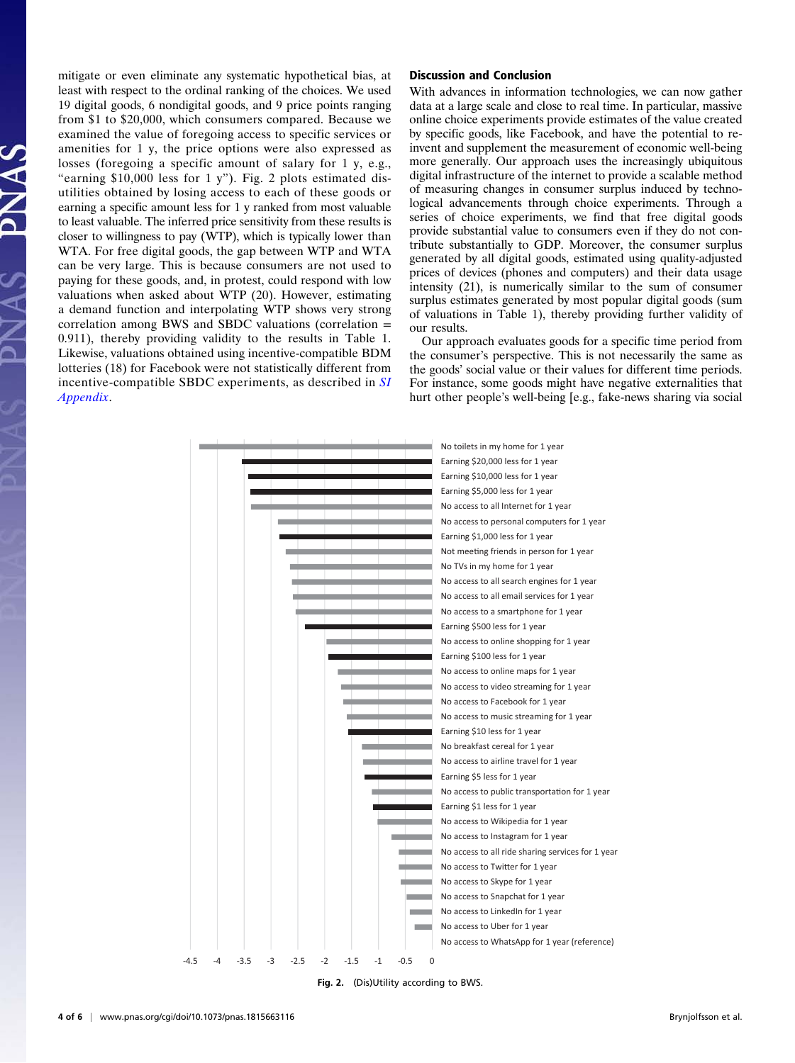mitigate or even eliminate any systematic hypothetical bias, at least with respect to the ordinal ranking of the choices. We used 19 digital goods, 6 nondigital goods, and 9 price points ranging from \$1 to \$20,000, which consumers compared. Because we examined the value of foregoing access to specific services or amenities for 1 y, the price options were also expressed as losses (foregoing a specific amount of salary for 1 y, e.g., "earning \$10,000 less for 1 y"). Fig. 2 plots estimated disutilities obtained by losing access to each of these goods or earning a specific amount less for 1 y ranked from most valuable to least valuable. The inferred price sensitivity from these results is closer to willingness to pay (WTP), which is typically lower than WTA. For free digital goods, the gap between WTP and WTA can be very large. This is because consumers are not used to paying for these goods, and, in protest, could respond with low valuations when asked about WTP (20). However, estimating a demand function and interpolating WTP shows very strong correlation among BWS and SBDC valuations (correlation = 0.911), thereby providing validity to the results in Table 1. Likewise, valuations obtained using incentive-compatible BDM lotteries (18) for Facebook were not statistically different from incentive-compatible SBDC experiments, as described in [SI](https://www.pnas.org/lookup/suppl/doi:10.1073/pnas.1815663116/-/DCSupplemental) [Appendix](https://www.pnas.org/lookup/suppl/doi:10.1073/pnas.1815663116/-/DCSupplemental).

# Discussion and Conclusion

With advances in information technologies, we can now gather data at a large scale and close to real time. In particular, massive online choice experiments provide estimates of the value created by specific goods, like Facebook, and have the potential to reinvent and supplement the measurement of economic well-being more generally. Our approach uses the increasingly ubiquitous digital infrastructure of the internet to provide a scalable method of measuring changes in consumer surplus induced by technological advancements through choice experiments. Through a series of choice experiments, we find that free digital goods provide substantial value to consumers even if they do not contribute substantially to GDP. Moreover, the consumer surplus generated by all digital goods, estimated using quality-adjusted prices of devices (phones and computers) and their data usage intensity (21), is numerically similar to the sum of consumer surplus estimates generated by most popular digital goods (sum of valuations in Table 1), thereby providing further validity of our results.

Our approach evaluates goods for a specific time period from the consumer's perspective. This is not necessarily the same as the goods' social value or their values for different time periods. For instance, some goods might have negative externalities that hurt other people's well-being [e.g., fake-news sharing via social



Fig. 2. (Dis)Utility according to BWS.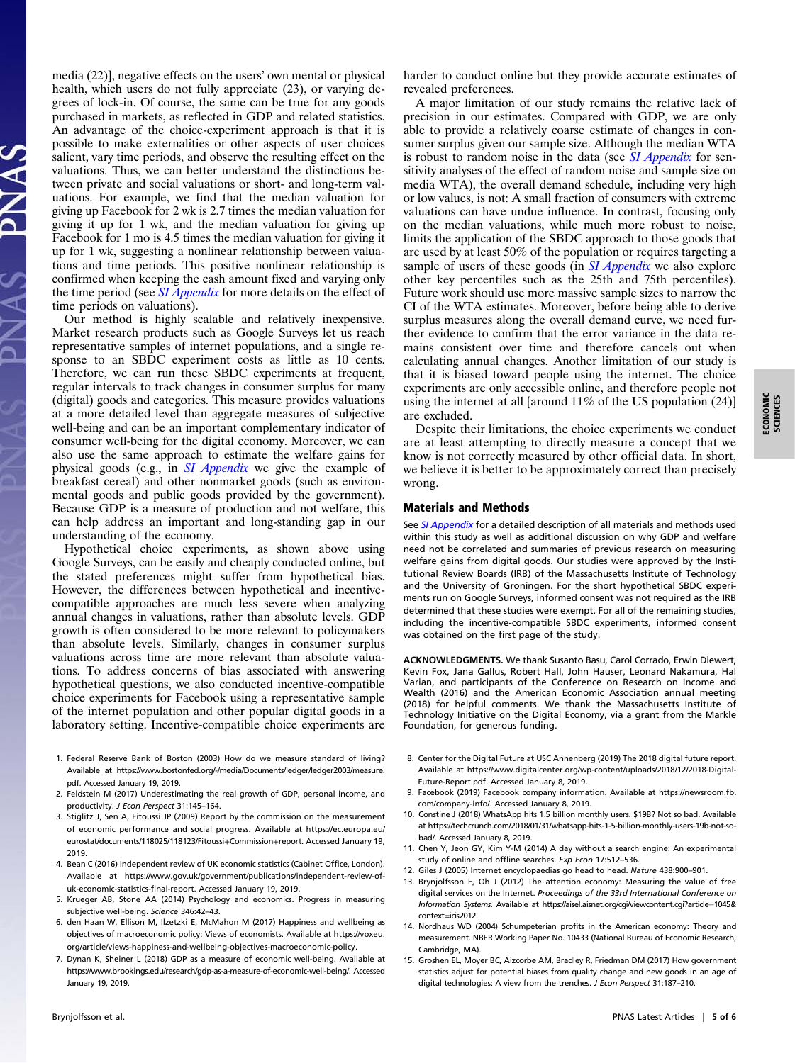media (22)], negative effects on the users' own mental or physical health, which users do not fully appreciate (23), or varying degrees of lock-in. Of course, the same can be true for any goods purchased in markets, as reflected in GDP and related statistics. An advantage of the choice-experiment approach is that it is possible to make externalities or other aspects of user choices salient, vary time periods, and observe the resulting effect on the valuations. Thus, we can better understand the distinctions between private and social valuations or short- and long-term valuations. For example, we find that the median valuation for giving up Facebook for 2 wk is 2.7 times the median valuation for giving it up for 1 wk, and the median valuation for giving up Facebook for 1 mo is 4.5 times the median valuation for giving it up for 1 wk, suggesting a nonlinear relationship between valuations and time periods. This positive nonlinear relationship is confirmed when keeping the cash amount fixed and varying only the time period (see *[SI Appendix](https://www.pnas.org/lookup/suppl/doi:10.1073/pnas.1815663116/-/DCSupplemental)* for more details on the effect of time periods on valuations).

Our method is highly scalable and relatively inexpensive. Market research products such as Google Surveys let us reach representative samples of internet populations, and a single response to an SBDC experiment costs as little as 10 cents. Therefore, we can run these SBDC experiments at frequent, regular intervals to track changes in consumer surplus for many (digital) goods and categories. This measure provides valuations at a more detailed level than aggregate measures of subjective well-being and can be an important complementary indicator of consumer well-being for the digital economy. Moreover, we can also use the same approach to estimate the welfare gains for physical goods (e.g., in [SI Appendix](https://www.pnas.org/lookup/suppl/doi:10.1073/pnas.1815663116/-/DCSupplemental) we give the example of breakfast cereal) and other nonmarket goods (such as environmental goods and public goods provided by the government). Because GDP is a measure of production and not welfare, this can help address an important and long-standing gap in our understanding of the economy.

Hypothetical choice experiments, as shown above using Google Surveys, can be easily and cheaply conducted online, but the stated preferences might suffer from hypothetical bias. However, the differences between hypothetical and incentivecompatible approaches are much less severe when analyzing annual changes in valuations, rather than absolute levels. GDP growth is often considered to be more relevant to policymakers than absolute levels. Similarly, changes in consumer surplus valuations across time are more relevant than absolute valuations. To address concerns of bias associated with answering hypothetical questions, we also conducted incentive-compatible choice experiments for Facebook using a representative sample of the internet population and other popular digital goods in a laboratory setting. Incentive-compatible choice experiments are

- 1. Federal Reserve Bank of Boston (2003) How do we measure standard of living? Available at [https://www.bostonfed.org/-/media/Documents/ledger/ledger2003/measure.](https://www.bostonfed.org/-/media/Documents/ledger/ledger2003/measure.pdf) [pdf](https://www.bostonfed.org/-/media/Documents/ledger/ledger2003/measure.pdf). Accessed January 19, 2019.
- 2. Feldstein M (2017) Underestimating the real growth of GDP, personal income, and productivity. J Econ Perspect 31:145–164.
- 3. Stiglitz J, Sen A, Fitoussi JP (2009) Report by the commission on the measurement of economic performance and social progress. Available at [https://ec.europa.eu/](https://ec.europa.eu/eurostat/documents/118025/118123/Fitoussi+Commission+report) [eurostat/documents/118025/118123/Fitoussi](https://ec.europa.eu/eurostat/documents/118025/118123/Fitoussi+Commission+report)+[Commission](https://ec.europa.eu/eurostat/documents/118025/118123/Fitoussi+Commission+report)+[report.](https://ec.europa.eu/eurostat/documents/118025/118123/Fitoussi+Commission+report) Accessed January 19, 2019.
- 4. Bean C (2016) Independent review of UK economic statistics (Cabinet Office, London). Available at [https://www.gov.uk/government/publications/independent-review-of](https://www.gov.uk/government/publications/independent-review-of-uk-economic-statistics-final-report)[uk-economic-statistics-final-report.](https://www.gov.uk/government/publications/independent-review-of-uk-economic-statistics-final-report) Accessed January 19, 2019.
- 5. Krueger AB, Stone AA (2014) Psychology and economics. Progress in measuring subjective well-being. Science 346:42–43.
- 6. den Haan W, Ellison M, Ilzetzki E, McMahon M (2017) Happiness and wellbeing as objectives of macroeconomic policy: Views of economists. Available at [https://voxeu.](https://voxeu.org/article/views-happiness-and-wellbeing-objectives-macroeconomic-policy) [org/article/views-happiness-and-wellbeing-objectives-macroeconomic-policy.](https://voxeu.org/article/views-happiness-and-wellbeing-objectives-macroeconomic-policy)
- 7. Dynan K, Sheiner L (2018) GDP as a measure of economic well-being. Available at [https://www.brookings.edu/research/gdp-as-a-measure-of-economic-well-being/.](https://www.brookings.edu/research/gdp-as-a-measure-of-economic-well-being/) Accessed January 19, 2019.

harder to conduct online but they provide accurate estimates of revealed preferences.

A major limitation of our study remains the relative lack of precision in our estimates. Compared with GDP, we are only able to provide a relatively coarse estimate of changes in consumer surplus given our sample size. Although the median WTA is robust to random noise in the data (see *[SI Appendix](https://www.pnas.org/lookup/suppl/doi:10.1073/pnas.1815663116/-/DCSupplemental)* for sensitivity analyses of the effect of random noise and sample size on media WTA), the overall demand schedule, including very high or low values, is not: A small fraction of consumers with extreme valuations can have undue influence. In contrast, focusing only on the median valuations, while much more robust to noise, limits the application of the SBDC approach to those goods that are used by at least 50% of the population or requires targeting a sample of users of these goods (in *[SI Appendix](https://www.pnas.org/lookup/suppl/doi:10.1073/pnas.1815663116/-/DCSupplemental)* we also explore other key percentiles such as the 25th and 75th percentiles). Future work should use more massive sample sizes to narrow the CI of the WTA estimates. Moreover, before being able to derive surplus measures along the overall demand curve, we need further evidence to confirm that the error variance in the data remains consistent over time and therefore cancels out when calculating annual changes. Another limitation of our study is that it is biased toward people using the internet. The choice experiments are only accessible online, and therefore people not using the internet at all [around 11% of the US population (24)] are excluded.

Despite their limitations, the choice experiments we conduct are at least attempting to directly measure a concept that we know is not correctly measured by other official data. In short, we believe it is better to be approximately correct than precisely wrong.

### Materials and Methods

See [SI Appendix](https://www.pnas.org/lookup/suppl/doi:10.1073/pnas.1815663116/-/DCSupplemental) for a detailed description of all materials and methods used within this study as well as additional discussion on why GDP and welfare need not be correlated and summaries of previous research on measuring welfare gains from digital goods. Our studies were approved by the Institutional Review Boards (IRB) of the Massachusetts Institute of Technology and the University of Groningen. For the short hypothetical SBDC experiments run on Google Surveys, informed consent was not required as the IRB determined that these studies were exempt. For all of the remaining studies, including the incentive-compatible SBDC experiments, informed consent was obtained on the first page of the study.

ACKNOWLEDGMENTS. We thank Susanto Basu, Carol Corrado, Erwin Diewert, Kevin Fox, Jana Gallus, Robert Hall, John Hauser, Leonard Nakamura, Hal Varian, and participants of the Conference on Research on Income and Wealth (2016) and the American Economic Association annual meeting (2018) for helpful comments. We thank the Massachusetts Institute of Technology Initiative on the Digital Economy, via a grant from the Markle Foundation, for generous funding.

- 8. Center for the Digital Future at USC Annenberg (2019) The 2018 digital future report. Available at [https://www.digitalcenter.org/wp-content/uploads/2018/12/2018-Digital-](https://www.digitalcenter.org/wp-content/uploads/2018/12/2018-Digital-Future-Report.pdf)[Future-Report.pdf.](https://www.digitalcenter.org/wp-content/uploads/2018/12/2018-Digital-Future-Report.pdf) Accessed January 8, 2019.
- 9. Facebook (2019) Facebook company information. Available at [https://newsroom.fb.](https://newsroom.fb.com/company-info/) [com/company-info/.](https://newsroom.fb.com/company-info/) Accessed January 8, 2019.
- 10. Constine J (2018) WhatsApp hits 1.5 billion monthly users. \$19B? Not so bad. Available at [https://techcrunch.com/2018/01/31/whatsapp-hits-1-5-billion-monthly-users-19b-not-so](https://techcrunch.com/2018/01/31/whatsapp-hits-1-5-billion-monthly-users-19b-not-so-bad/)[bad/.](https://techcrunch.com/2018/01/31/whatsapp-hits-1-5-billion-monthly-users-19b-not-so-bad/) Accessed January 8, 2019.
- 11. Chen Y, Jeon GY, Kim Y-M (2014) A day without a search engine: An experimental study of online and offline searches. Exp Econ 17:512-536.
- 12. Giles J (2005) Internet encyclopaedias go head to head. Nature 438:900–901.
- 13. Brynjolfsson E, Oh J (2012) The attention economy: Measuring the value of free digital services on the Internet. Proceedings of the 33rd International Conference on Information Systems. Available at [https://aisel.aisnet.org/cgi/viewcontent.cgi?article](https://aisel.aisnet.org/cgi/viewcontent.cgi?article=1045&context=icis2012)=1045& [context](https://aisel.aisnet.org/cgi/viewcontent.cgi?article=1045&context=icis2012)=icis2012.
- 14. Nordhaus WD (2004) Schumpeterian profits in the American economy: Theory and measurement. NBER Working Paper No. 10433 (National Bureau of Economic Research, Cambridge, MA).
- 15. Groshen EL, Moyer BC, Aizcorbe AM, Bradley R, Friedman DM (2017) How government statistics adjust for potential biases from quality change and new goods in an age of digital technologies: A view from the trenches. J Econ Perspect 31:187–210.